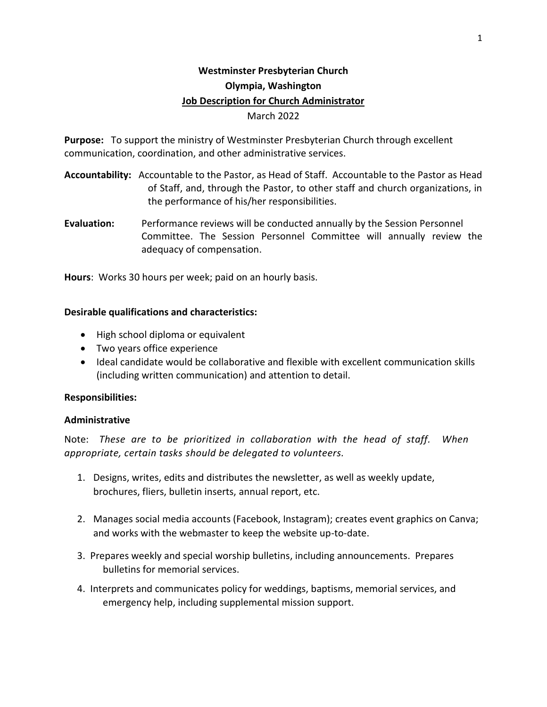# **Westminster Presbyterian Church Olympia, Washington Job Description for Church Administrator** March 2022

**Purpose:** To support the ministry of Westminster Presbyterian Church through excellent communication, coordination, and other administrative services.

- **Accountability:** Accountable to the Pastor, as Head of Staff. Accountable to the Pastor as Head of Staff, and, through the Pastor, to other staff and church organizations, in the performance of his/her responsibilities.
- **Evaluation:** Performance reviews will be conducted annually by the Session Personnel Committee. The Session Personnel Committee will annually review the adequacy of compensation.

**Hours**: Works 30 hours per week; paid on an hourly basis.

## **Desirable qualifications and characteristics:**

- High school diploma or equivalent
- Two years office experience
- Ideal candidate would be collaborative and flexible with excellent communication skills (including written communication) and attention to detail.

## **Responsibilities:**

## **Administrative**

Note: *These are to be prioritized in collaboration with the head of staff. When appropriate, certain tasks should be delegated to volunteers.*

- 1. Designs, writes, edits and distributes the newsletter, as well as weekly update, brochures, fliers, bulletin inserts, annual report, etc.
- 2. Manages social media accounts (Facebook, Instagram); creates event graphics on Canva; and works with the webmaster to keep the website up-to-date.
- 3. Prepares weekly and special worship bulletins, including announcements. Prepares bulletins for memorial services.
- 4. Interprets and communicates policy for weddings, baptisms, memorial services, and emergency help, including supplemental mission support.